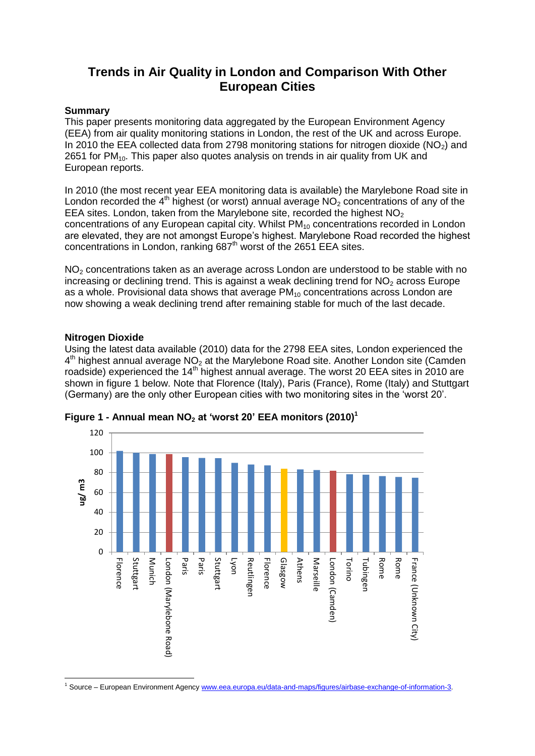# **Trends in Air Quality in London and Comparison With Other European Cities**

### **Summary**

This paper presents monitoring data aggregated by the European Environment Agency (EEA) from air quality monitoring stations in London, the rest of the UK and across Europe. In 2010 the EEA collected data from 2798 monitoring stations for nitrogen dioxide ( $NO<sub>2</sub>$ ) and 2651 for PM<sub>10</sub>. This paper also quotes analysis on trends in air quality from UK and European reports.

In 2010 (the most recent year EEA monitoring data is available) the Marylebone Road site in London recorded the  $4<sup>th</sup>$  highest (or worst) annual average NO<sub>2</sub> concentrations of any of the EEA sites. London, taken from the Marylebone site, recorded the highest  $NO<sub>2</sub>$ concentrations of any European capital city. Whilst  $PM_{10}$  concentrations recorded in London are elevated, they are not amongst Europe's highest. Marylebone Road recorded the highest concentrations in London, ranking  $687<sup>th</sup>$  worst of the 2651 EEA sites.

 $NO<sub>2</sub>$  concentrations taken as an average across London are understood to be stable with no increasing or declining trend. This is against a weak declining trend for  $NO<sub>2</sub>$  across Europe as a whole. Provisional data shows that average  $PM_{10}$  concentrations across London are now showing a weak declining trend after remaining stable for much of the last decade.

### **Nitrogen Dioxide**

**.** 

Using the latest data available (2010) data for the 2798 EEA sites, London experienced the  $4<sup>th</sup>$  highest annual average NO<sub>2</sub> at the Marylebone Road site. Another London site (Camden roadside) experienced the 14<sup>th</sup> highest annual average. The worst 20 EEA sites in 2010 are shown in figure 1 below. Note that Florence (Italy), Paris (France), Rome (Italy) and Stuttgart (Germany) are the only other European cities with two monitoring sites in the 'worst 20'.



**Figure 1 - Annual mean NO<sup>2</sup> at 'worst 20' EEA monitors (2010)<sup>1</sup>**

<sup>1</sup> Source – European Environment Agenc[y www.eea.europa.eu/data-and-maps/figures/airbase-exchange-of-information-3.](http://www.eea.europa.eu/data-and-maps/figures/airbase-exchange-of-information-3)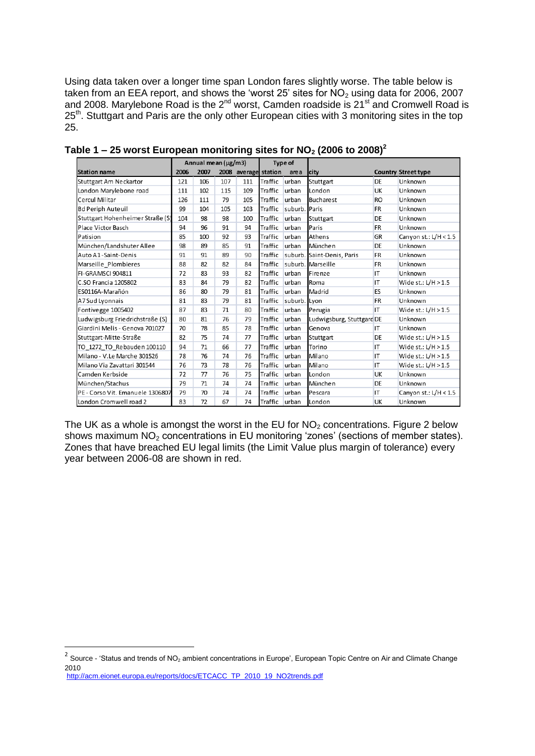Using data taken over a longer time span London fares slightly worse. The table below is taken from an EEA report, and shows the 'worst 25' sites for  $NO<sub>2</sub>$  using data for 2006, 2007 and 2008. Marylebone Road is the  $2^{nd}$  worst, Camden roadside is  $21^{st}$  and Cromwell Road is 25<sup>th</sup>. Stuttgart and Paris are the only other European cities with 3 monitoring sites in the top 25.

|                                  | Annual mean $(\mu g/m3)$ |      |     |                      | <b>Type of</b> |               |                            |           |                            |
|----------------------------------|--------------------------|------|-----|----------------------|----------------|---------------|----------------------------|-----------|----------------------------|
| <b>Station name</b>              | 2006                     | 2007 |     | 2008 average station |                | area          | lcity                      |           | <b>Country Street type</b> |
| Stuttgart Am Neckartor           | 121                      | 106  | 107 | 111                  | Traffic        | urban         | Stuttgart                  | <b>DE</b> | Unknown                    |
| London Marylebone road           | 111                      | 102  | 115 | 109                  | Traffic        | lurban        | London                     | <b>UK</b> | Unknown                    |
| Cercul Militar                   | 126                      | 111  | 79  | 105                  | Traffic        | urban         | <b>Bucharest</b>           | <b>RO</b> | Unknown                    |
| <b>Bd Periph Auteuil</b>         | 99                       | 104  | 105 | 103                  | Traffic        | suburb. Paris |                            | <b>FR</b> | Unknown                    |
| Stuttgart Hohenheimer Straße (S) | 104                      | 98   | 98  | 100                  | Traffic        | urban         | Stuttgart                  | DE        | Unknown                    |
| Place Victor Basch               | 94                       | 96   | 91  | 94                   | Traffic        | urban         | Paris                      | <b>FR</b> | Unknown                    |
| Patision                         | 85                       | 100  | 92  | 93                   | Traffic        | urban         | Athens                     | <b>GR</b> | Canyon st.: $L/H < 1.5$    |
| München/Landshuter Allee         | 98                       | 89   | 85  | 91                   | Traffic        | urban         | München                    | DE        | Unknown                    |
| Auto A1-Saint-Denis              | 91                       | 91   | 89  | 90                   | Traffic        |               | suburb. Saint-Denis, Paris | <b>FR</b> | Unknown                    |
| Marseille Plombieres             | 88                       | 82   | 82  | 84                   | Traffic        |               | suburb. Marseille          | <b>FR</b> | Unknown                    |
| FI-GRAMSCI 904811                | 72                       | 83   | 93  | 82                   | Traffic        | urban         | Firenze                    | IT        | Unknown                    |
| C.SO Francia 1205802             | 83                       | 84   | 79  | 82                   | Traffic        | urban         | <b>R</b> oma               | IT        | Wide st.: $L/H > 1.5$      |
| ES0116A-Marañón                  | 86                       | 80   | 79  | 81                   | Traffic        | urban         | Madrid                     | ES        | Unknown                    |
| A7 Sud Lyonnais                  | 81                       | 83   | 79  | 81                   | Traffic        | suburb. Lyon  |                            | <b>FR</b> | Unknown                    |
| Fontivegge 1005402               | 87                       | 83   | 71  | 80                   | Traffic        | urban         | Perugia                    | IT        | Wide st.: $L/H > 1.5$      |
| Ludwigsburg Friedrichstraße (S)  | 80                       | 81   | 76  | 79                   | Traffic        | urban         | Ludwigsburg, Stuttgard DE  |           | Unknown                    |
| Giardini Melis - Genova 701027   | 70                       | 78   | 85  | 78                   | Traffic        | urban         | Genova                     | IT        | Unknown                    |
| Stuttgart-Mitte-Straße           | 82                       | 75   | 74  | 77                   | Traffic        | urban         | Stuttgart                  | DE        | Wide st.: $L/H > 1.5$      |
| TO 1272 TO Rebauden 100110       | 94                       | 71   | 66  | 77                   | Traffic        | urban         | Torino                     | IT        | Wide st.: $L/H > 1.5$      |
| Milano - V.Le Marche 301526      | 78                       | 76   | 74  | 76                   | Traffic        | urban         | <b>Milano</b>              | IT        | Wide st.: $L/H > 1.5$      |
| Milano Via Zavattari 301544      | 76                       | 73   | 78  | 76                   | Traffic        | urban         | Milano                     | IT        | Wide st.: $L/H > 1.5$      |
| Camden Kerbside                  | 72                       | 77   | 76  | 75                   | Traffic        | urban         | London                     | <b>UK</b> | Unknown                    |
| München/Stachus                  | 79                       | 71   | 74  | 74                   | Traffic        | urban         | München                    | DE        | Unknown                    |
| PE - Corso Vit. Emanuele 1306807 | 79                       | 70   | 74  | 74                   | Traffic        | urban         | Pescara                    | IT        | Canyon st.: $L/H < 1.5$    |
| London Cromwell road 2           | 83                       | 72   | 67  | 74                   | Traffic urban  |               | London                     | <b>UK</b> | Unknown                    |

Table 1 – 25 worst European monitoring sites for  $NO<sub>2</sub>$  (2006 to 2008)<sup>2</sup>

The UK as a whole is amongst the worst in the EU for  $NO<sub>2</sub>$  concentrations. Figure 2 below shows maximum NO<sub>2</sub> concentrations in EU monitoring 'zones' (sections of member states). Zones that have breached EU legal limits (the Limit Value plus margin of tolerance) every year between 2006-08 are shown in red.

 2 Source - 'Status and trends of NO<sup>2</sup> ambient concentrations in Europe', European Topic Centre on Air and Climate Change 2010 [http://acm.eionet.europa.eu/reports/docs/ETCACC\\_TP\\_2010\\_19\\_NO2trends.pdf](http://acm.eionet.europa.eu/reports/docs/ETCACC_TP_2010_19_NO2trends.pdf)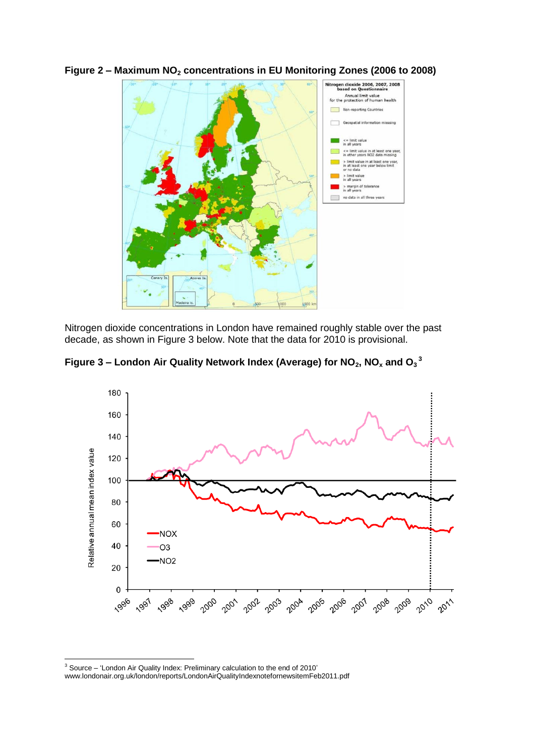

**Figure 2 – Maximum NO<sup>2</sup> concentrations in EU Monitoring Zones (2006 to 2008)** 

Nitrogen dioxide concentrations in London have remained roughly stable over the past decade, as shown in Figure 3 below. Note that the data for 2010 is provisional.

**Figure 3 – London Air Quality Network Index (Average) for NO2, NO<sup>x</sup> and O<sup>3</sup> 3**



**<sup>.</sup>**  $3$  Source – 'London Air Quality Index: Preliminary calculation to the end of 2010'

www.londonair.org.uk/london/reports/LondonAirQualityIndexnotefornewsitemFeb2011.pdf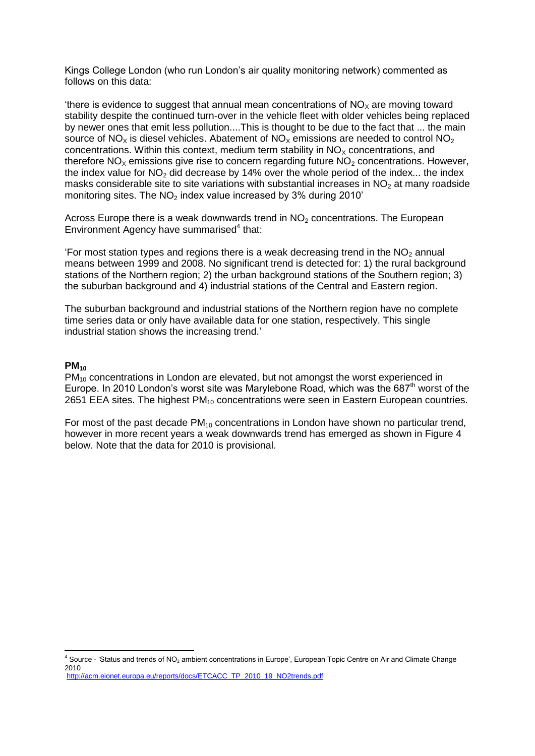Kings College London (who run London's air quality monitoring network) commented as follows on this data:

'there is evidence to suggest that annual mean concentrations of  $NO<sub>x</sub>$  are moving toward stability despite the continued turn-over in the vehicle fleet with older vehicles being replaced by newer ones that emit less pollution....This is thought to be due to the fact that ... the main source of  $NO_x$  is diesel vehicles. Abatement of  $NO_x$  emissions are needed to control  $NO_2$ concentrations. Within this context, medium term stability in  $NO<sub>x</sub>$  concentrations, and therefore  $NO<sub>x</sub>$  emissions give rise to concern regarding future  $NO<sub>2</sub>$  concentrations. However, the index value for  $NO<sub>2</sub>$  did decrease by 14% over the whole period of the index... the index masks considerable site to site variations with substantial increases in  $NO<sub>2</sub>$  at many roadside monitoring sites. The  $NO<sub>2</sub>$  index value increased by 3% during 2010'

Across Europe there is a weak downwards trend in  $NO<sub>2</sub>$  concentrations. The European Environment Agency have summarised<sup>4</sup> that:

'For most station types and regions there is a weak decreasing trend in the  $NO<sub>2</sub>$  annual means between 1999 and 2008. No significant trend is detected for: 1) the rural background stations of the Northern region; 2) the urban background stations of the Southern region; 3) the suburban background and 4) industrial stations of the Central and Eastern region.

The suburban background and industrial stations of the Northern region have no complete time series data or only have available data for one station, respectively. This single industrial station shows the increasing trend.'

#### **PM<sup>10</sup>**

**.** 

 $PM<sub>10</sub>$  concentrations in London are elevated, but not amongst the worst experienced in Europe. In 2010 London's worst site was Marylebone Road, which was the  $687<sup>th</sup>$  worst of the 2651 EEA sites. The highest  $PM_{10}$  concentrations were seen in Eastern European countries.

For most of the past decade  $PM_{10}$  concentrations in London have shown no particular trend, however in more recent years a weak downwards trend has emerged as shown in Figure 4 below. Note that the data for 2010 is provisional.

 $4$  Source - 'Status and trends of NO<sub>2</sub> ambient concentrations in Europe', European Topic Centre on Air and Climate Change 2010 [http://acm.eionet.europa.eu/reports/docs/ETCACC\\_TP\\_2010\\_19\\_NO2trends.pdf](http://acm.eionet.europa.eu/reports/docs/ETCACC_TP_2010_19_NO2trends.pdf)